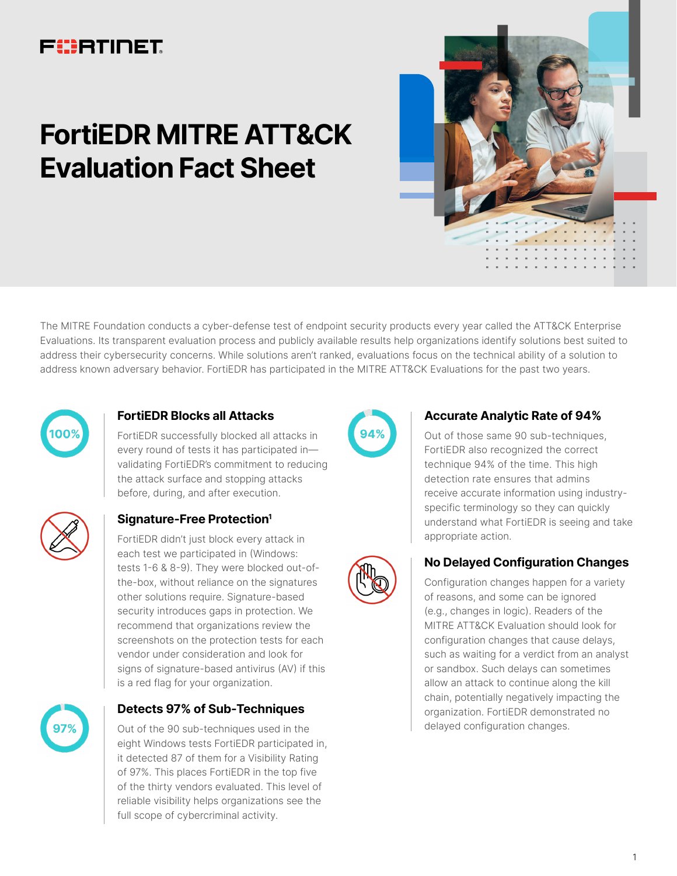# FUERTINET

# **FortiEDR MITRE ATT&CK Evaluation Fact Sheet**



The MITRE Foundation conducts a cyber-defense test of endpoint security products every year called the ATT&CK Enterprise Evaluations. Its transparent evaluation process and publicly available results help organizations identify solutions best suited to address their cybersecurity concerns. While solutions aren't ranked, evaluations focus on the technical ability of a solution to address known adversary behavior. FortiEDR has participated in the MITRE ATT&CK Evaluations for the past two years.



### **FortiEDR Blocks all Attacks**

FortiEDR successfully blocked all attacks in every round of tests it has participated in validating FortiEDR's commitment to reducing the attack surface and stopping attacks before, during, and after execution.

# **Signature-Free Protection1**

FortiEDR didn't just block every attack in each test we participated in (Windows: tests 1-6 & 8-9). They were blocked out-ofthe-box, without reliance on the signatures other solutions require. Signature-based security introduces gaps in protection. We recommend that organizations review the screenshots on the protection tests for each vendor under consideration and look for signs of signature-based antivirus (AV) if this is a red flag for your organization.



#### **Detects 97% of Sub-Techniques**

Out of the 90 sub-techniques used in the eight Windows tests FortiEDR participated in, it detected 87 of them for a Visibility Rating of 97%. This places FortiEDR in the top five of the thirty vendors evaluated. This level of reliable visibility helps organizations see the full scope of cybercriminal activity.



#### **Accurate Analytic Rate of 94%**

Out of those same 90 sub-techniques, FortiEDR also recognized the correct technique 94% of the time. This high detection rate ensures that admins receive accurate information using industryspecific terminology so they can quickly understand what FortiEDR is seeing and take appropriate action.



# **No Delayed Configuration Changes**

Configuration changes happen for a variety of reasons, and some can be ignored (e.g., changes in logic). Readers of the MITRE ATT&CK Evaluation should look for configuration changes that cause delays, such as waiting for a verdict from an analyst or sandbox. Such delays can sometimes allow an attack to continue along the kill chain, potentially negatively impacting the organization. FortiEDR demonstrated no delayed configuration changes.